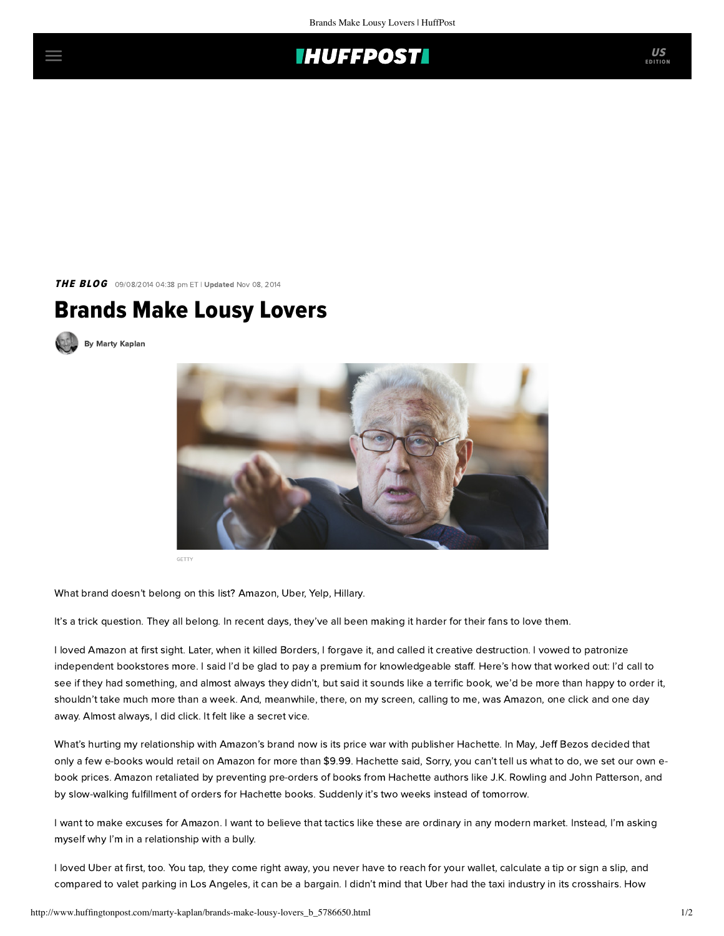## **IHUFFPOSTI**

**THE BLOG** 09/08/2014 04:38 pm ET | Updated Nov 08, 2014

## Brands Make Lousy Lovers





GETTY

What brand doesn't belong on this list? Amazon, Uber, Yelp, Hillary.

It's a trick question. They all belong. In recent days, they've all been making it harder for their fans to love them.

I loved Amazon at first sight. Later, when it killed Borders, I forgave it, and called it creative destruction. I vowed to patronize independent bookstores more. I said I'd be glad to pay a premium for knowledgeable staff. Here's how that worked out: I'd call to see if they had something, and almost always they didn't, but said it sounds like a terrific book, we'd be more than happy to order it, shouldn't take much more than a week. And, meanwhile, there, on my screen, calling to me, was Amazon, one click and one day away. Almost always, I did click. It felt like a secret vice.

What's hurting my relationship with Amazon's brand now is its [price war](http://www.npr.org/blogs/alltechconsidered/2014/09/04/345825538/in-e-book-price-war-amazons-long-term-strategy-requires-short-term-risks) with publisher Hachette. In May, Jeff Bezos decided that only a few e-books would retail on Amazon for more than \$9.99. Hachette said, Sorry, you can't tell us what to do, we set our own ebook prices. Amazon retaliated by preventing pre-orders of books from Hachette authors like J.K. Rowling and John Patterson, and by slow-walking fulfillment of orders for Hachette books. Suddenly it's two weeks instead of tomorrow.

I want to make excuses for Amazon. I want to believe that tactics like these are ordinary in any modern market. Instead, I'm asking myself why I'm in a relationship with a bully.

I loved Uber at first, too. You tap, they come right away, you never have to reach for your wallet, calculate a tip or sign a slip, and compared to valet parking in Los Angeles, it can be a bargain. I didn't mind that Uber had the taxi industry in its crosshairs. How